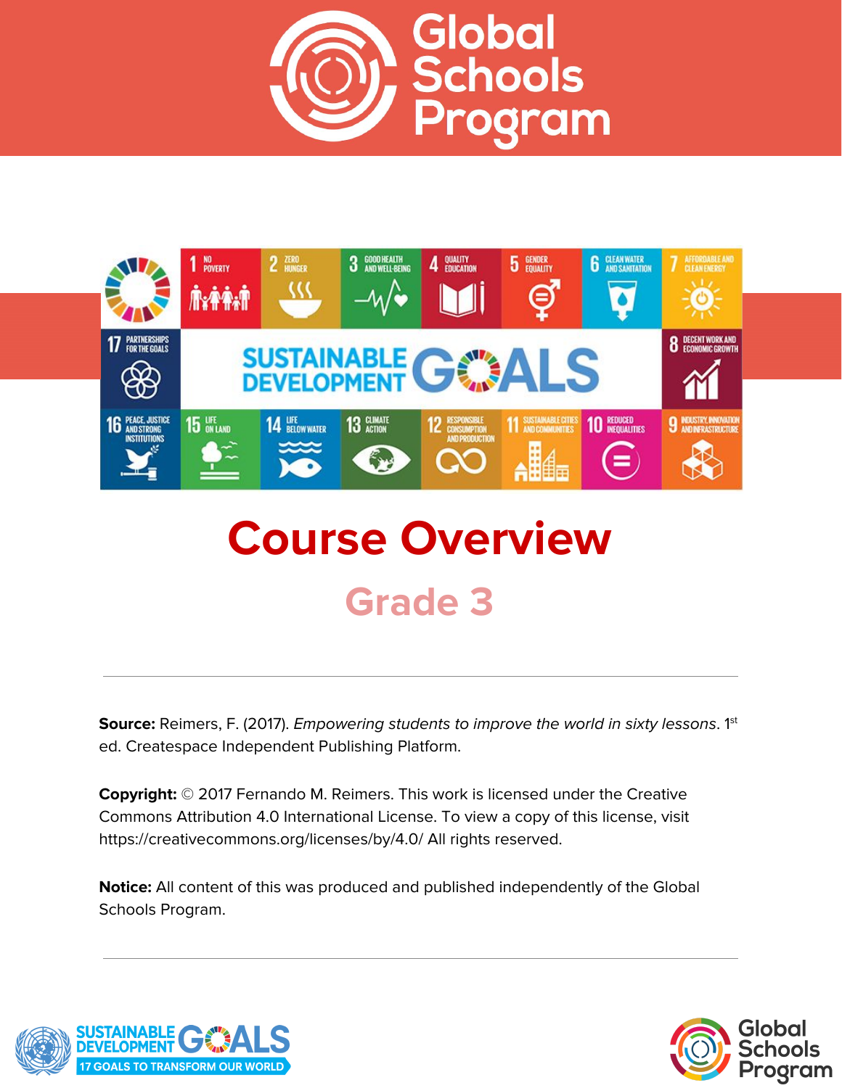



# **Course Overview Grade 3**

**Source:** Reimers, F. (2017). *Empowering students to improve the world in sixty lessons.* 1<sup>st</sup> ed. Createspace Independent Publishing Platform.

**Copyright:** © 2017 Fernando M. Reimers. This work is licensed under the Creative Commons Attribution 4.0 International License. To view a copy of this license, visit https://creativecommons.org/licenses/by/4.0/ All rights reserved.

**Notice:** All content of this was produced and published independently of the Global Schools Program.



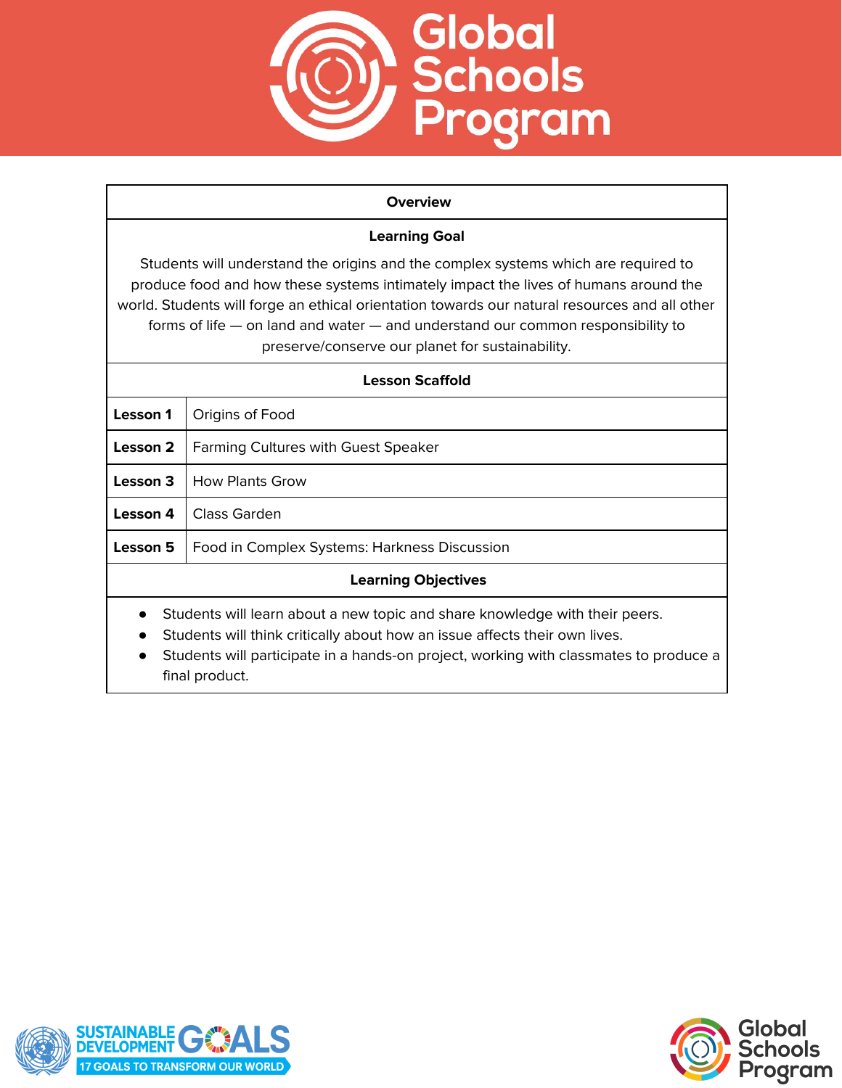

#### **Overview**

## **Learning Goal**

Students will understand the origins and the complex systems which are required to produce food and how these systems intimately impact the lives of humans around the world. Students will forge an ethical orientation towards our natural resources and all other forms of life — on land and water — and understand our common responsibility to preserve/conserve our planet for sustainability.

| Lesson Scaffold                                                                                                                                                                                                                                    |                                              |
|----------------------------------------------------------------------------------------------------------------------------------------------------------------------------------------------------------------------------------------------------|----------------------------------------------|
| <b>Lesson 1</b>                                                                                                                                                                                                                                    | Origins of Food                              |
| Lesson 2                                                                                                                                                                                                                                           | <b>Farming Cultures with Guest Speaker</b>   |
| Lesson 3                                                                                                                                                                                                                                           | <b>How Plants Grow</b>                       |
| Lesson 4                                                                                                                                                                                                                                           | Class Garden                                 |
| <b>Lesson 5</b>                                                                                                                                                                                                                                    | Food in Complex Systems: Harkness Discussion |
| <b>Learning Objectives</b>                                                                                                                                                                                                                         |                                              |
| Students will learn about a new topic and share knowledge with their peers.<br>Students will think critically about how an issue affects their own lives.<br>Students will participate in a hands-on project, working with classmates to produce a |                                              |



final product.

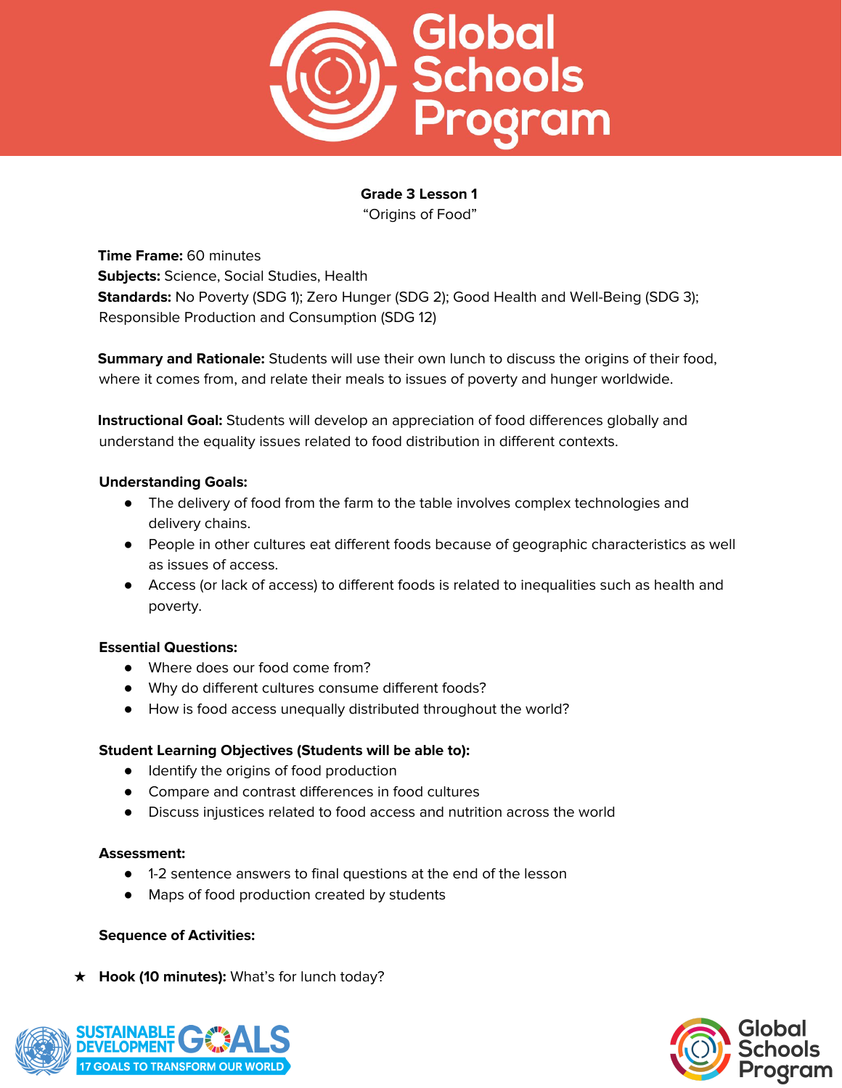

**Grade 3 Lesson 1** "Origins of Food"

**Time Frame:** 60 minutes **Subjects:** Science, Social Studies, Health **Standards:** No Poverty (SDG 1); Zero Hunger (SDG 2); Good Health and Well-Being (SDG 3); Responsible Production and Consumption (SDG 12)

**Summary and Rationale:** Students will use their own lunch to discuss the origins of their food, where it comes from, and relate their meals to issues of poverty and hunger worldwide.

**Instructional Goal:** Students will develop an appreciation of food differences globally and understand the equality issues related to food distribution in different contexts.

## **Understanding Goals:**

- The delivery of food from the farm to the table involves complex technologies and delivery chains.
- People in other cultures eat different foods because of geographic characteristics as well as issues of access.
- Access (or lack of access) to different foods is related to inequalities such as health and poverty.

## **Essential Questions:**

- Where does our food come from?
- Why do different cultures consume different foods?
- How is food access unequally distributed throughout the world?

## **Student Learning Objectives (Students will be able to):**

- Identify the origins of food production
- Compare and contrast differences in food cultures
- Discuss injustices related to food access and nutrition across the world

## **Assessment:**

- 1-2 sentence answers to final questions at the end of the lesson
- Maps of food production created by students

## **Sequence of Activities:**

★ **Hook (10 minutes):** What's for lunch today?



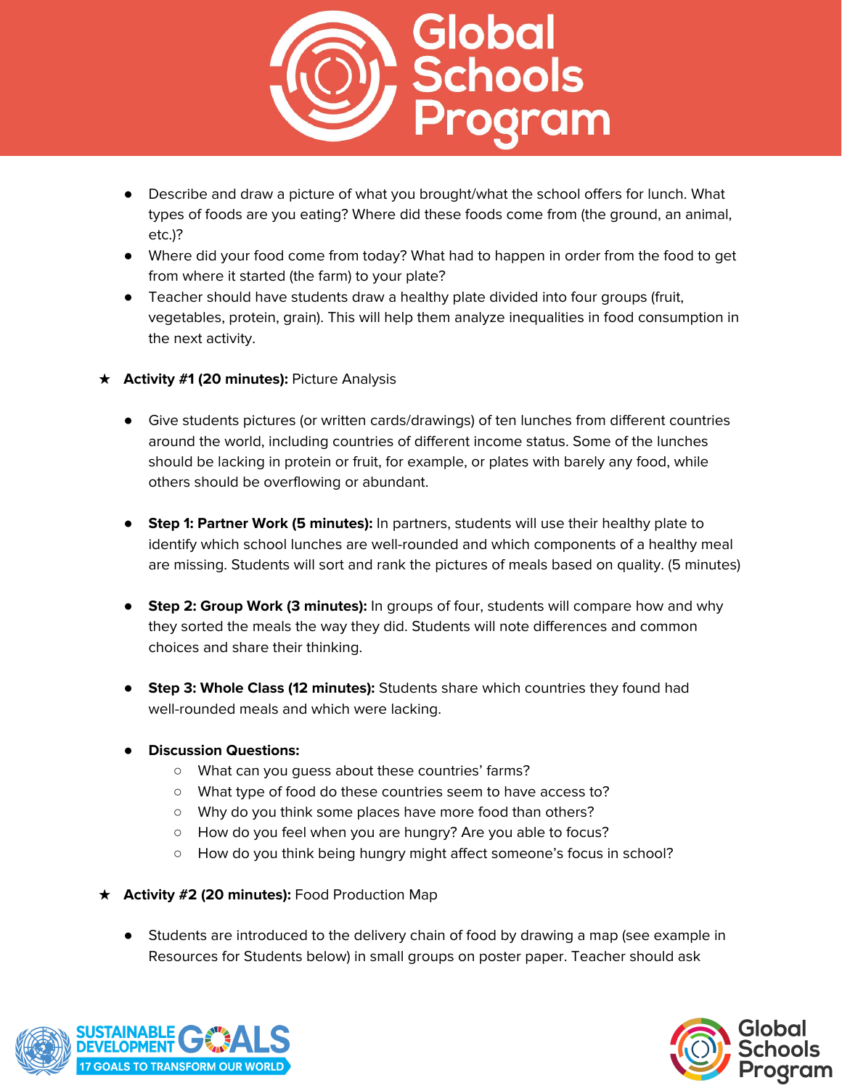

- Describe and draw a picture of what you brought/what the school offers for lunch. What types of foods are you eating? Where did these foods come from (the ground, an animal, etc.)?
- Where did your food come from today? What had to happen in order from the food to get from where it started (the farm) to your plate?
- Teacher should have students draw a healthy plate divided into four groups (fruit, vegetables, protein, grain). This will help them analyze inequalities in food consumption in the next activity.
- ★ **Activity #1 (20 minutes):** Picture Analysis
	- Give students pictures (or written cards/drawings) of ten lunches from different countries around the world, including countries of different income status. Some of the lunches should be lacking in protein or fruit, for example, or plates with barely any food, while others should be overflowing or abundant.
	- **Step 1: Partner Work (5 minutes):** In partners, students will use their healthy plate to identify which school lunches are well-rounded and which components of a healthy meal are missing. Students will sort and rank the pictures of meals based on quality. (5 minutes)
	- **Step 2: Group Work (3 minutes):** In groups of four, students will compare how and why they sorted the meals the way they did. Students will note differences and common choices and share their thinking.
	- **Step 3: Whole Class (12 minutes):** Students share which countries they found had well-rounded meals and which were lacking.
	- **● Discussion Questions:**
		- What can you guess about these countries' farms?
		- What type of food do these countries seem to have access to?
		- Why do you think some places have more food than others?
		- How do you feel when you are hungry? Are you able to focus?
		- How do you think being hungry might affect someone's focus in school?
- ★ **Activity #2 (20 minutes):** Food Production Map
	- Students are introduced to the delivery chain of food by drawing a map (see example in Resources for Students below) in small groups on poster paper. Teacher should ask



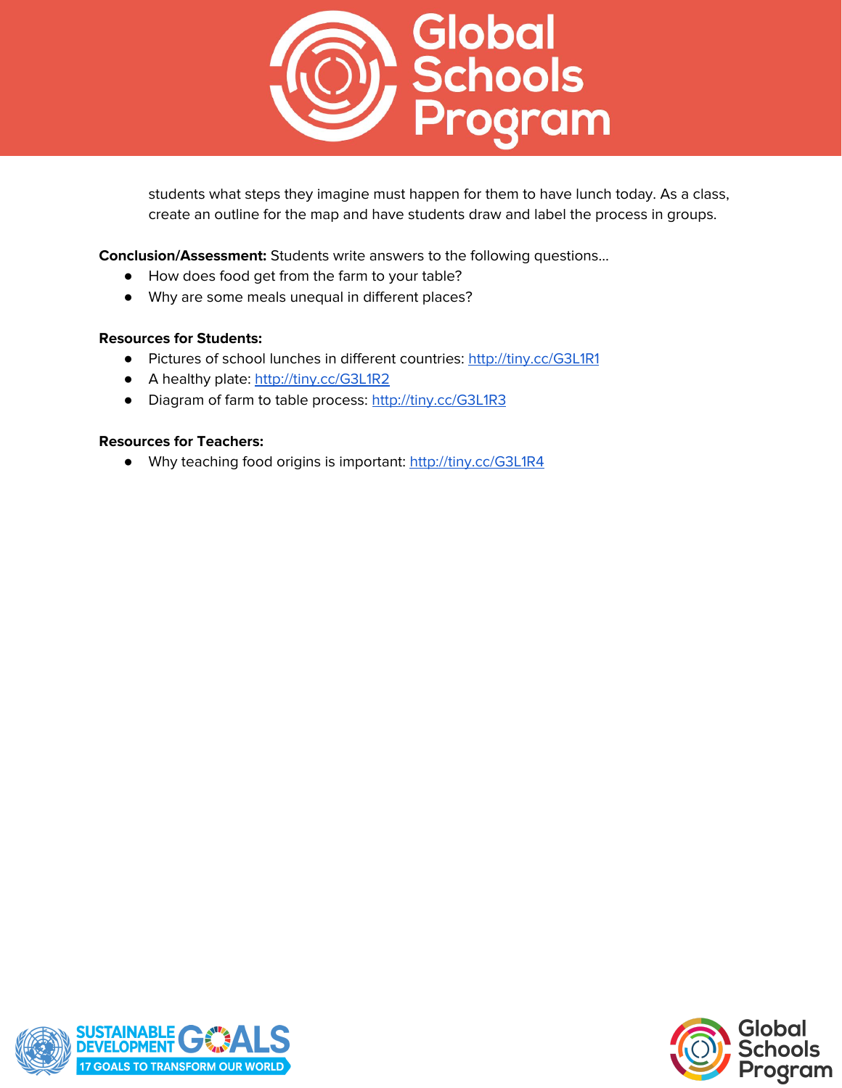

students what steps they imagine must happen for them to have lunch today. As a class, create an outline for the map and have students draw and label the process in groups.

**Conclusion/Assessment:** Students write answers to the following questions…

- How does food get from the farm to your table?
- Why are some meals unequal in different places?

#### **Resources for Students:**

- Pictures of school lunches in different countries: <http://tiny.cc/G3L1R1>
- A healthy plate: <http://tiny.cc/G3L1R2>
- Diagram of farm to table process: <http://tiny.cc/G3L1R3>

#### **Resources for Teachers:**

● Why teaching food origins is important: <http://tiny.cc/G3L1R4>



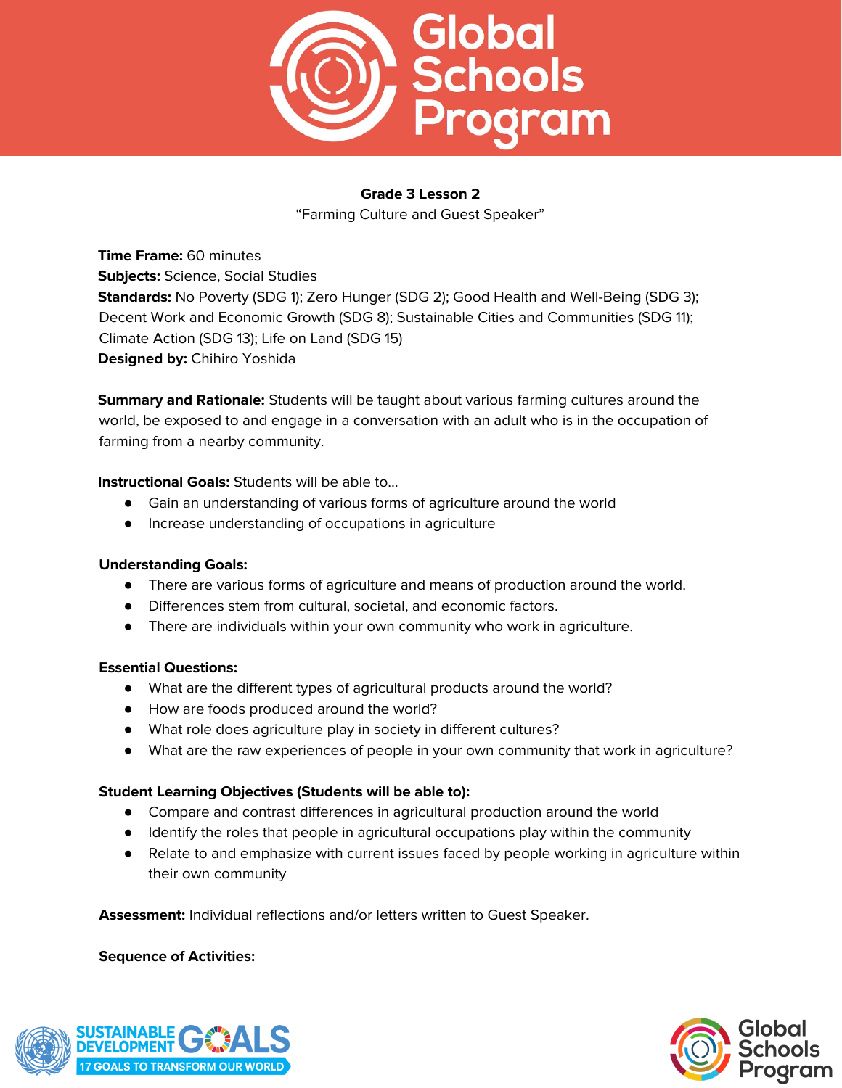

## **Grade 3 Lesson 2**

"Farming Culture and Guest Speaker"

**Time Frame:** 60 minutes **Subjects:** Science, Social Studies **Standards:** No Poverty (SDG 1); Zero Hunger (SDG 2); Good Health and Well-Being (SDG 3); Decent Work and Economic Growth (SDG 8); Sustainable Cities and Communities (SDG 11); Climate Action (SDG 13); Life on Land (SDG 15) **Designed by:** Chihiro Yoshida

**Summary and Rationale:** Students will be taught about various farming cultures around the world, be exposed to and engage in a conversation with an adult who is in the occupation of farming from a nearby community.

## **Instructional Goals:** Students will be able to…

- Gain an understanding of various forms of agriculture around the world
- Increase understanding of occupations in agriculture

## **Understanding Goals:**

- There are various forms of agriculture and means of production around the world.
- Differences stem from cultural, societal, and economic factors.
- There are individuals within your own community who work in agriculture.

## **Essential Questions:**

- What are the different types of agricultural products around the world?
- How are foods produced around the world?
- What role does agriculture play in society in different cultures?
- What are the raw experiences of people in your own community that work in agriculture?

## **Student Learning Objectives (Students will be able to):**

- Compare and contrast differences in agricultural production around the world
- Identify the roles that people in agricultural occupations play within the community
- Relate to and emphasize with current issues faced by people working in agriculture within their own community

**Assessment:** Individual reflections and/or letters written to Guest Speaker.

## **Sequence of Activities:**



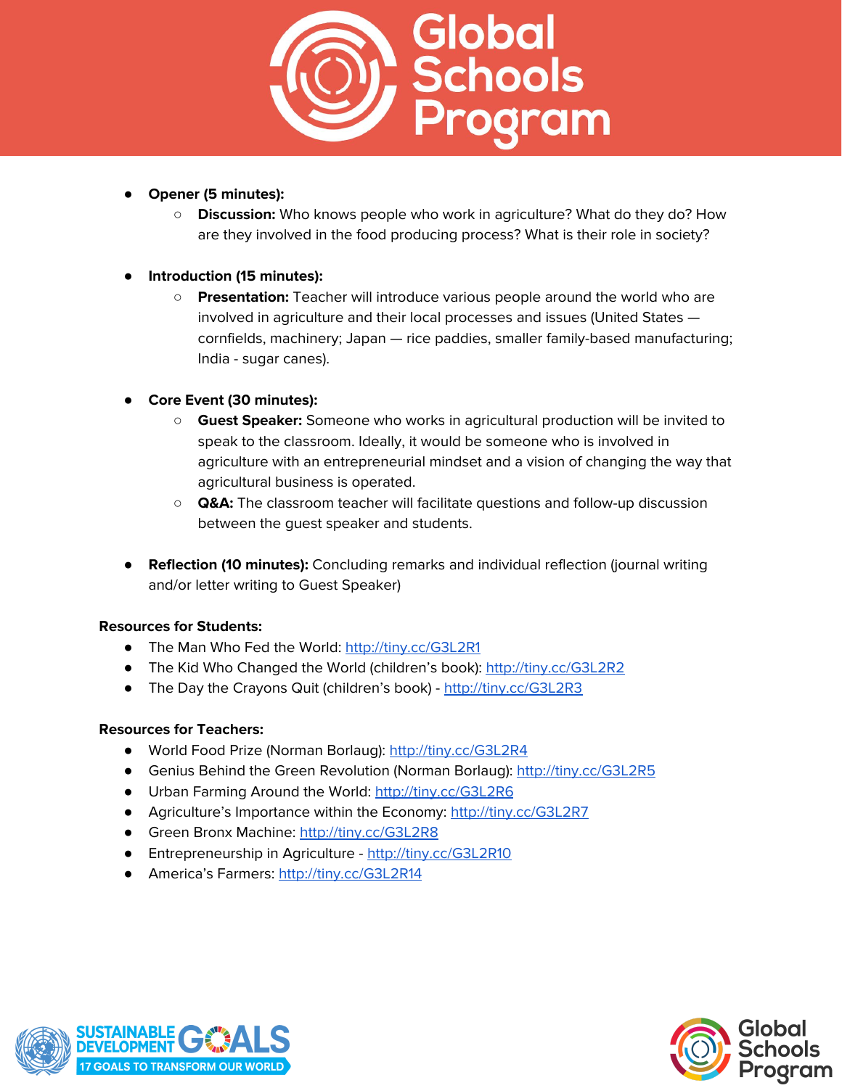

- **Opener (5 minutes):**
	- **Discussion:** Who knows people who work in agriculture? What do they do? How are they involved in the food producing process? What is their role in society?

## **● Introduction (15 minutes):**

○ **Presentation:** Teacher will introduce various people around the world who are involved in agriculture and their local processes and issues (United States cornfields, machinery; Japan — rice paddies, smaller family-based manufacturing; India - sugar canes).

## **● Core Event (30 minutes):**

- **Guest Speaker:** Someone who works in agricultural production will be invited to speak to the classroom. Ideally, it would be someone who is involved in agriculture with an entrepreneurial mindset and a vision of changing the way that agricultural business is operated.
- **Q&A:** The classroom teacher will facilitate questions and follow-up discussion between the guest speaker and students.
- **Reflection (10 minutes):** Concluding remarks and individual reflection (journal writing and/or letter writing to Guest Speaker)

## **Resources for Students:**

- The Man Who Fed the World: <http://tiny.cc/G3L2R1>
- The Kid Who Changed the World (children's book): <http://tiny.cc/G3L2R2>
- The Day the Crayons Quit (children's book) <http://tiny.cc/G3L2R3>

## **Resources for Teachers:**

- World Food Prize (Norman Borlaug): <http://tiny.cc/G3L2R4>
- Genius Behind the Green Revolution (Norman Borlaug): <http://tiny.cc/G3L2R5>
- Urban Farming Around the World: <http://tiny.cc/G3L2R6>
- Agriculture's Importance within the Economy: <http://tiny.cc/G3L2R7>
- Green Bronx Machine: <http://tiny.cc/G3L2R8>
- Entrepreneurship in Agriculture <http://tiny.cc/G3L2R10>
- America's Farmers: <http://tiny.cc/G3L2R14>



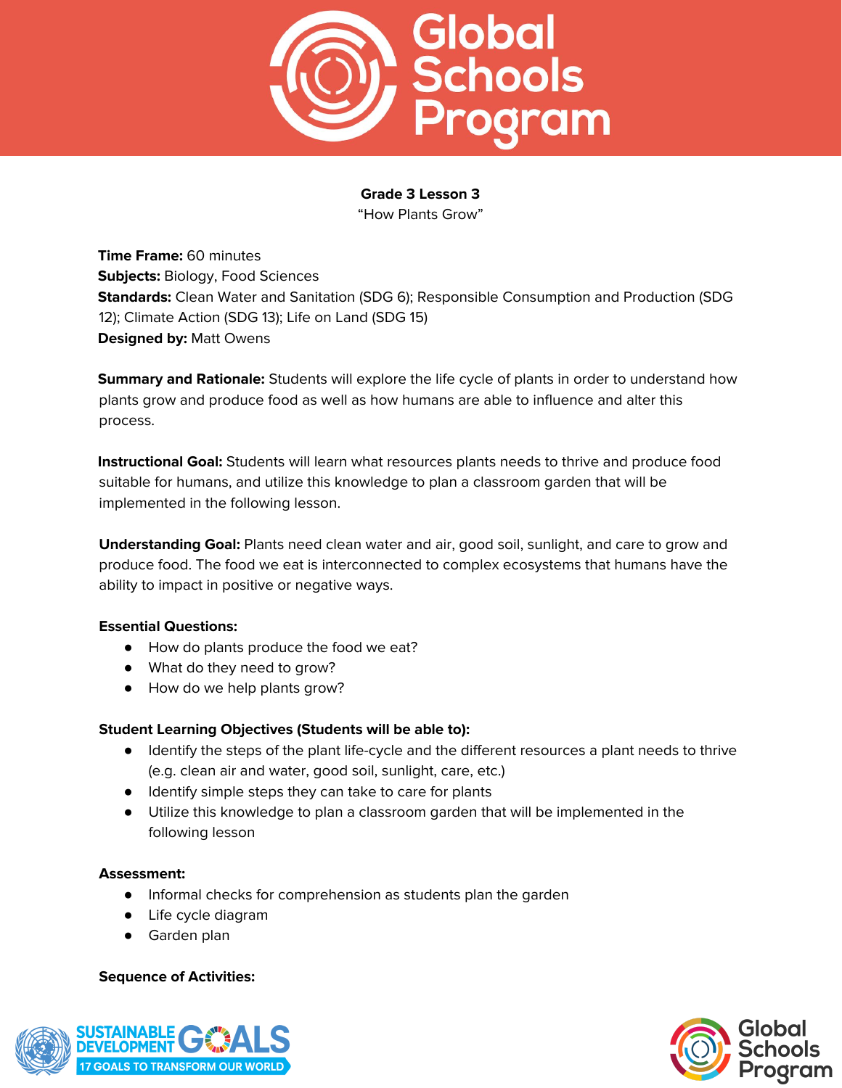

## **Grade 3 Lesson 3**

"How Plants Grow"

**Time Frame:** 60 minutes **Subjects:** Biology, Food Sciences **Standards:** Clean Water and Sanitation (SDG 6); Responsible Consumption and Production (SDG 12); Climate Action (SDG 13); Life on Land (SDG 15) **Designed by:** Matt Owens

**Summary and Rationale:** Students will explore the life cycle of plants in order to understand how plants grow and produce food as well as how humans are able to influence and alter this process.

**Instructional Goal:** Students will learn what resources plants needs to thrive and produce food suitable for humans, and utilize this knowledge to plan a classroom garden that will be implemented in the following lesson.

**Understanding Goal:** Plants need clean water and air, good soil, sunlight, and care to grow and produce food. The food we eat is interconnected to complex ecosystems that humans have the ability to impact in positive or negative ways.

## **Essential Questions:**

- How do plants produce the food we eat?
- What do they need to grow?
- How do we help plants grow?

## **Student Learning Objectives (Students will be able to):**

- Identify the steps of the plant life-cycle and the different resources a plant needs to thrive (e.g. clean air and water, good soil, sunlight, care, etc.)
- Identify simple steps they can take to care for plants
- Utilize this knowledge to plan a classroom garden that will be implemented in the following lesson

## **Assessment:**

- Informal checks for comprehension as students plan the garden
- Life cycle diagram
- Garden plan

## **Sequence of Activities:**



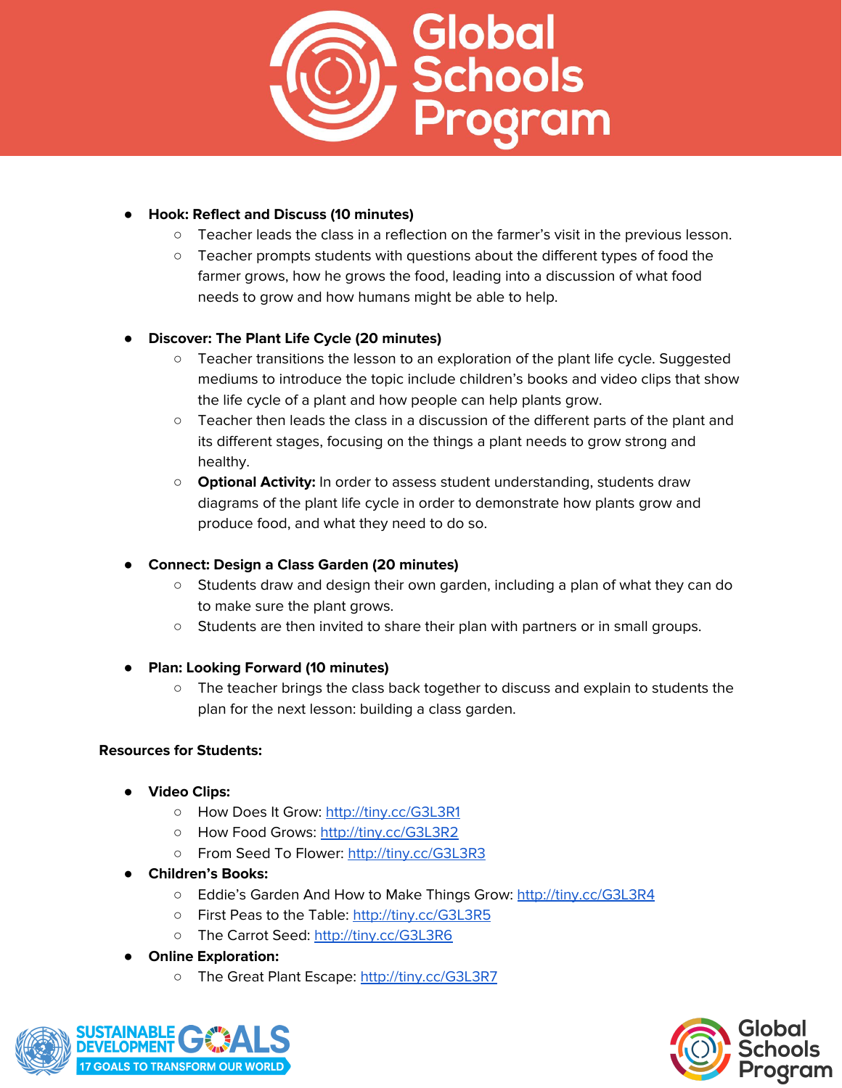

## ● **Hook: Reflect and Discuss (10 minutes)**

- Teacher leads the class in a reflection on the farmer's visit in the previous lesson.
- Teacher prompts students with questions about the different types of food the farmer grows, how he grows the food, leading into a discussion of what food needs to grow and how humans might be able to help.

# ● **Discover: The Plant Life Cycle (20 minutes)**

- Teacher transitions the lesson to an exploration of the plant life cycle. Suggested mediums to introduce the topic include children's books and video clips that show the life cycle of a plant and how people can help plants grow.
- Teacher then leads the class in a discussion of the different parts of the plant and its different stages, focusing on the things a plant needs to grow strong and healthy.
- **Optional Activity:** In order to assess student understanding, students draw diagrams of the plant life cycle in order to demonstrate how plants grow and produce food, and what they need to do so.

# ● **Connect: Design a Class Garden (20 minutes)**

- Students draw and design their own garden, including a plan of what they can do to make sure the plant grows.
- Students are then invited to share their plan with partners or in small groups.
- **Plan: Looking Forward (10 minutes)**
	- The teacher brings the class back together to discuss and explain to students the plan for the next lesson: building a class garden.

## **Resources for Students:**

- **● Video Clips:**
	- How Does It Grow: <http://tiny.cc/G3L3R1>
	- How Food Grows: <http://tiny.cc/G3L3R2>
	- From Seed To Flower: <http://tiny.cc/G3L3R3>
- **● Children's Books:**
	- Eddie's Garden And How to Make Things Grow: <http://tiny.cc/G3L3R4>
	- First Peas to the Table: <http://tiny.cc/G3L3R5>
	- The Carrot Seed: <http://tiny.cc/G3L3R6>
- **● Online Exploration:**
	- The Great Plant Escape: <http://tiny.cc/G3L3R7>



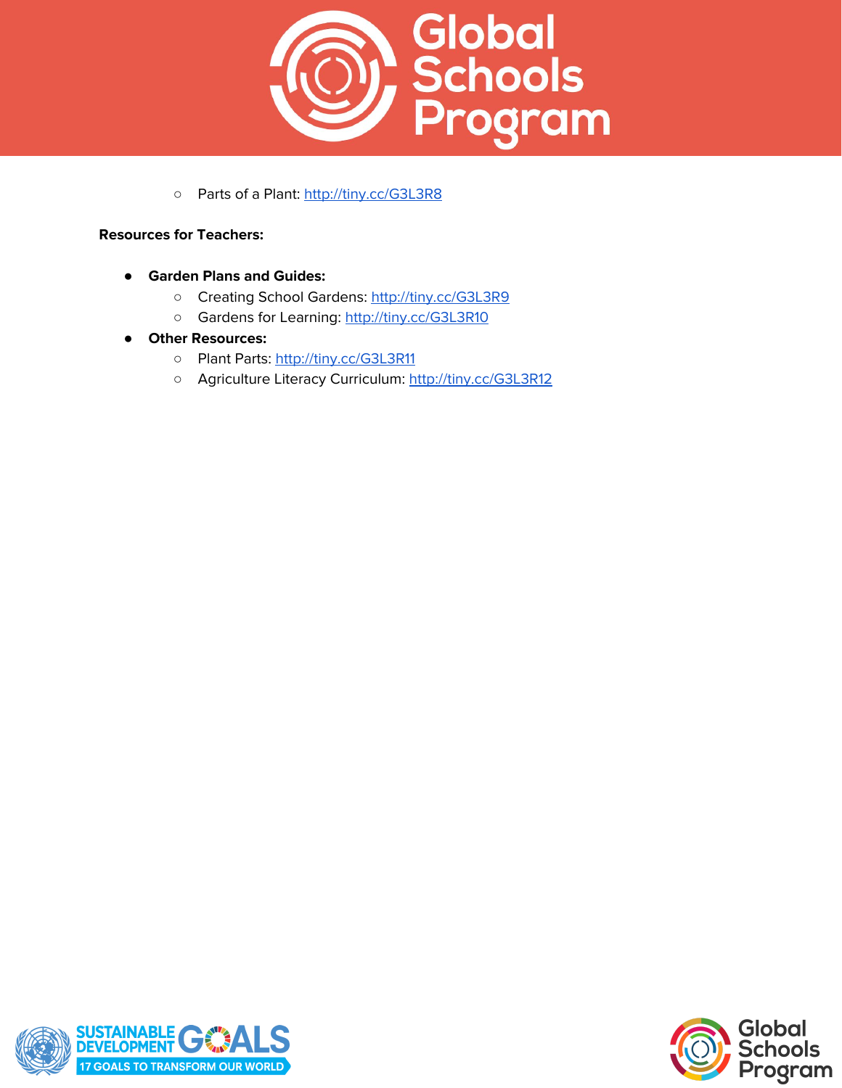

o Parts of a Plant: <http://tiny.cc/G3L3R8>

## **Resources for Teachers:**

- **● Garden Plans and Guides:**
	- Creating School Gardens: <http://tiny.cc/G3L3R9>
	- Gardens for Learning: <http://tiny.cc/G3L3R10>
- **● Other Resources:**
	- o Plant Parts: <http://tiny.cc/G3L3R11>
	- Agriculture Literacy Curriculum: <http://tiny.cc/G3L3R12>



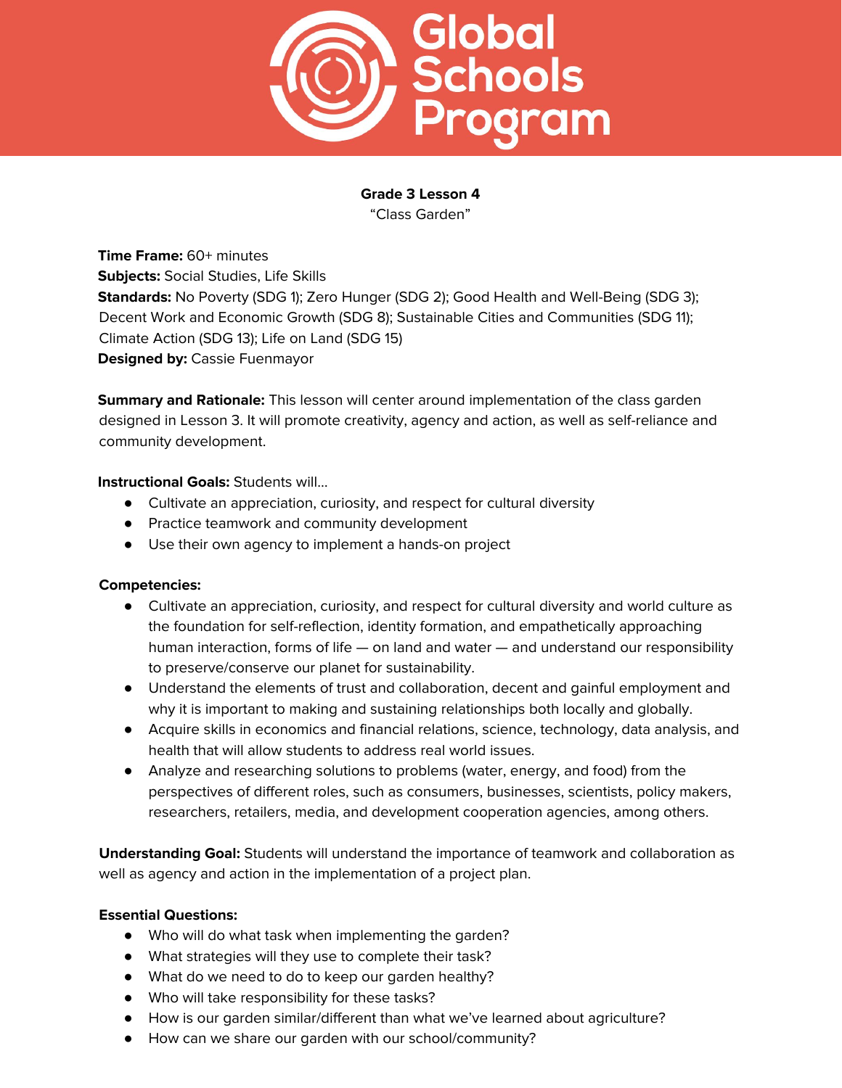

**Grade 3 Lesson 4** "Class Garden"

**Time Frame:** 60+ minutes **Subjects:** Social Studies, Life Skills **Standards:** No Poverty (SDG 1); Zero Hunger (SDG 2); Good Health and Well-Being (SDG 3); Decent Work and Economic Growth (SDG 8); Sustainable Cities and Communities (SDG 11); Climate Action (SDG 13); Life on Land (SDG 15) **Designed by:** Cassie Fuenmayor

**Summary and Rationale:** This lesson will center around implementation of the class garden designed in Lesson 3. It will promote creativity, agency and action, as well as self-reliance and community development.

#### **Instructional Goals:** Students will…

- Cultivate an appreciation, curiosity, and respect for cultural diversity
- Practice teamwork and community development
- Use their own agency to implement a hands-on project

## **Competencies:**

- Cultivate an appreciation, curiosity, and respect for cultural diversity and world culture as the foundation for self-reflection, identity formation, and empathetically approaching human interaction, forms of life — on land and water — and understand our responsibility to preserve/conserve our planet for sustainability.
- Understand the elements of trust and collaboration, decent and gainful employment and why it is important to making and sustaining relationships both locally and globally.
- Acquire skills in economics and financial relations, science, technology, data analysis, and health that will allow students to address real world issues.
- Analyze and researching solutions to problems (water, energy, and food) from the perspectives of different roles, such as consumers, businesses, scientists, policy makers, researchers, retailers, media, and development cooperation agencies, among others.

**Understanding Goal:** Students will understand the importance of teamwork and collaboration as well as agency and action in the implementation of a project plan.

## **Essential Questions:**

- Who will do what task when implementing the garden?
- What strategies will they use to complete their task?
- What do we need to do to keep our garden healthy?
- Who will take responsibility for these tasks?
- How is our garden similar/different than what we've learned about agriculture?
- How can we share our garden with our school/community?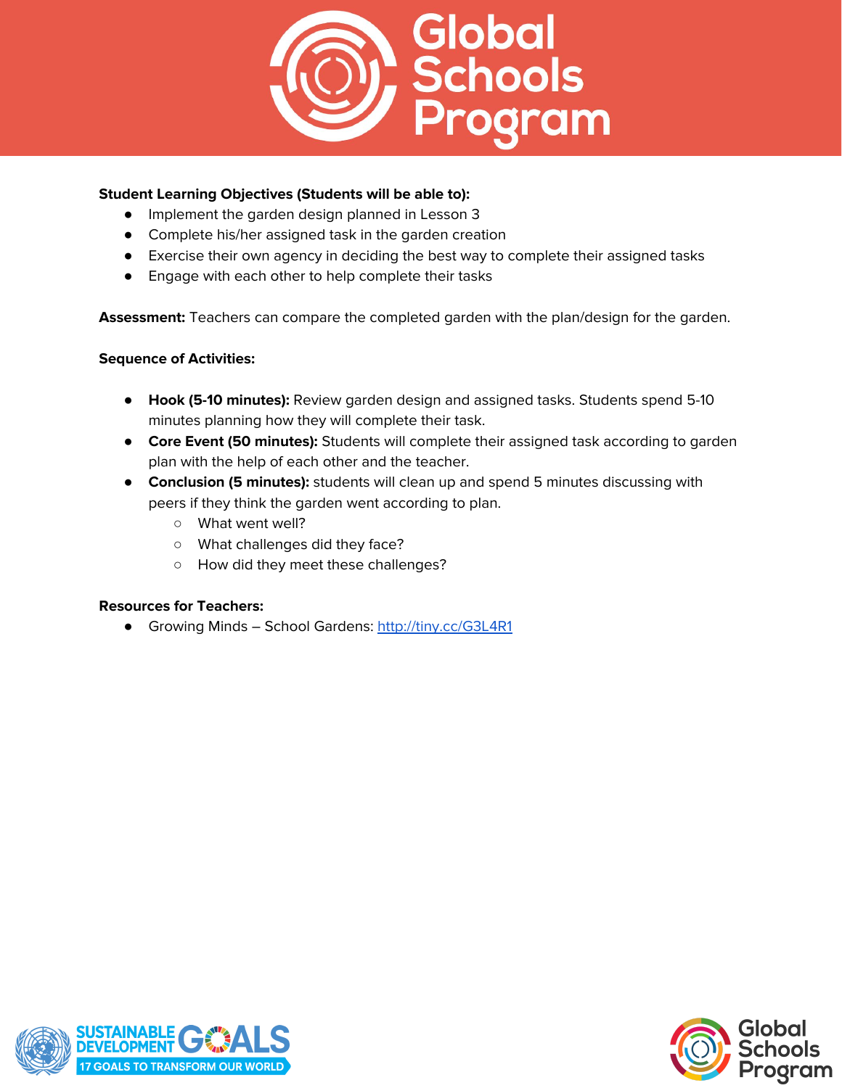

## **Student Learning Objectives (Students will be able to):**

- Implement the garden design planned in Lesson 3
- Complete his/her assigned task in the garden creation
- Exercise their own agency in deciding the best way to complete their assigned tasks
- Engage with each other to help complete their tasks

**Assessment:** Teachers can compare the completed garden with the plan/design for the garden.

## **Sequence of Activities:**

- **Hook (5-10 minutes):** Review garden design and assigned tasks. Students spend 5-10 minutes planning how they will complete their task.
- **Core Event (50 minutes):** Students will complete their assigned task according to garden plan with the help of each other and the teacher.
- **Conclusion (5 minutes):** students will clean up and spend 5 minutes discussing with peers if they think the garden went according to plan.
	- What went well?
	- What challenges did they face?
	- How did they meet these challenges?

## **Resources for Teachers:**

● Growing Minds – School Gardens: <http://tiny.cc/G3L4R1>



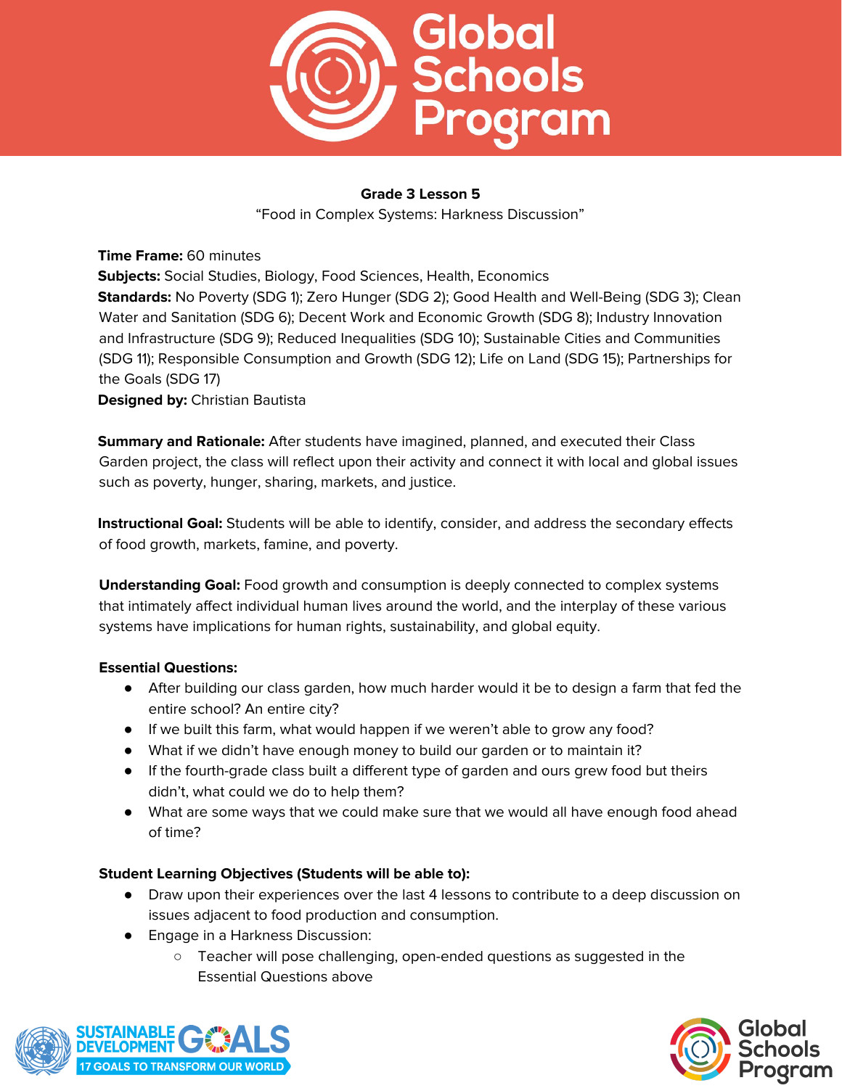

## **Grade 3 Lesson 5**

"Food in Complex Systems: Harkness Discussion"

**Time Frame:** 60 minutes **Subjects:** Social Studies, Biology, Food Sciences, Health, Economics **Standards:** No Poverty (SDG 1); Zero Hunger (SDG 2); Good Health and Well-Being (SDG 3); Clean Water and Sanitation (SDG 6); Decent Work and Economic Growth (SDG 8); Industry Innovation and Infrastructure (SDG 9); Reduced Inequalities (SDG 10); Sustainable Cities and Communities (SDG 11); Responsible Consumption and Growth (SDG 12); Life on Land (SDG 15); Partnerships for the Goals (SDG 17) **Designed by:** Christian Bautista

**Summary and Rationale:** After students have imagined, planned, and executed their Class Garden project, the class will reflect upon their activity and connect it with local and global issues such as poverty, hunger, sharing, markets, and justice.

**Instructional Goal:** Students will be able to identify, consider, and address the secondary effects of food growth, markets, famine, and poverty.

**Understanding Goal:** Food growth and consumption is deeply connected to complex systems that intimately affect individual human lives around the world, and the interplay of these various systems have implications for human rights, sustainability, and global equity.

## **Essential Questions:**

- After building our class garden, how much harder would it be to design a farm that fed the entire school? An entire city?
- If we built this farm, what would happen if we weren't able to grow any food?
- What if we didn't have enough money to build our garden or to maintain it?
- If the fourth-grade class built a different type of garden and ours grew food but theirs didn't, what could we do to help them?
- What are some ways that we could make sure that we would all have enough food ahead of time?

## **Student Learning Objectives (Students will be able to):**

- Draw upon their experiences over the last 4 lessons to contribute to a deep discussion on issues adjacent to food production and consumption.
- Engage in a Harkness Discussion:
	- Teacher will pose challenging, open-ended questions as suggested in the Essential Questions above